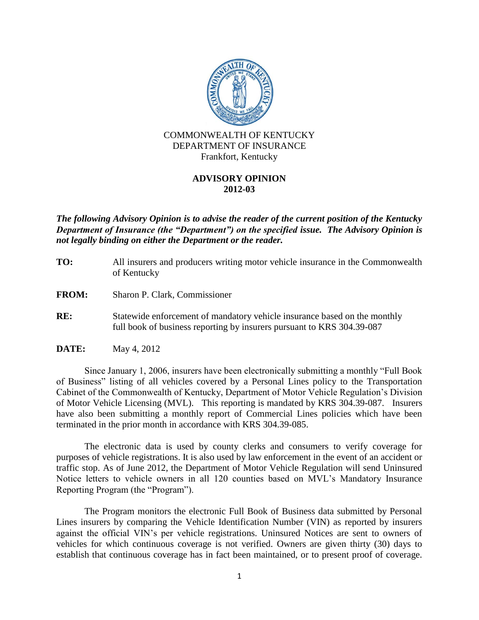

# **ADVISORY OPINION 2012-03**

*The following Advisory Opinion is to advise the reader of the current position of the Kentucky Department of Insurance (the "Department") on the specified issue. The Advisory Opinion is not legally binding on either the Department or the reader.*

- **TO:** All insurers and producers writing motor vehicle insurance in the Commonwealth of Kentucky
- **FROM:** Sharon P. Clark, Commissioner
- **RE:** Statewide enforcement of mandatory vehicle insurance based on the monthly full book of business reporting by insurers pursuant to KRS 304.39-087
- **DATE:** May 4, 2012

Since January 1, 2006, insurers have been electronically submitting a monthly "Full Book of Business" listing of all vehicles covered by a Personal Lines policy to the Transportation Cabinet of the Commonwealth of Kentucky, Department of Motor Vehicle Regulation's Division of Motor Vehicle Licensing (MVL). This reporting is mandated by KRS 304.39-087. Insurers have also been submitting a monthly report of Commercial Lines policies which have been terminated in the prior month in accordance with KRS 304.39-085.

The electronic data is used by county clerks and consumers to verify coverage for purposes of vehicle registrations. It is also used by law enforcement in the event of an accident or traffic stop. As of June 2012, the Department of Motor Vehicle Regulation will send Uninsured Notice letters to vehicle owners in all 120 counties based on MVL's Mandatory Insurance Reporting Program (the "Program").

The Program monitors the electronic Full Book of Business data submitted by Personal Lines insurers by comparing the Vehicle Identification Number (VIN) as reported by insurers against the official VIN's per vehicle registrations. Uninsured Notices are sent to owners of vehicles for which continuous coverage is not verified. Owners are given thirty (30) days to establish that continuous coverage has in fact been maintained, or to present proof of coverage.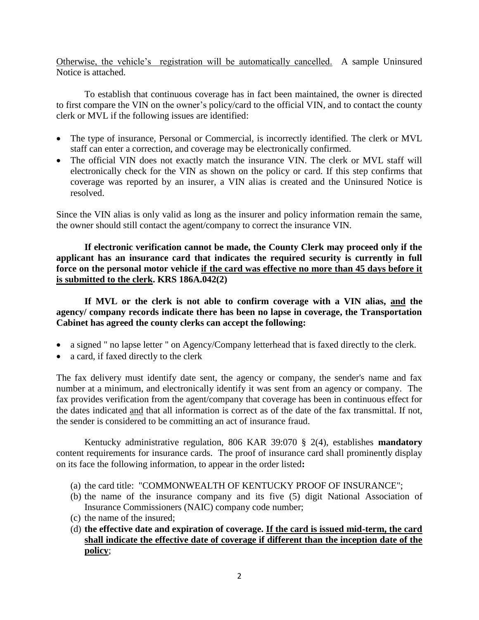Otherwise, the vehicle's registration will be automatically cancelled. A sample Uninsured Notice is attached.

To establish that continuous coverage has in fact been maintained, the owner is directed to first compare the VIN on the owner's policy/card to the official VIN, and to contact the county clerk or MVL if the following issues are identified:

- The type of insurance, Personal or Commercial, is incorrectly identified. The clerk or MVL staff can enter a correction, and coverage may be electronically confirmed.
- The official VIN does not exactly match the insurance VIN. The clerk or MVL staff will electronically check for the VIN as shown on the policy or card. If this step confirms that coverage was reported by an insurer, a VIN alias is created and the Uninsured Notice is resolved.

Since the VIN alias is only valid as long as the insurer and policy information remain the same, the owner should still contact the agent/company to correct the insurance VIN.

**If electronic verification cannot be made, the County Clerk may proceed only if the applicant has an insurance card that indicates the required security is currently in full force on the personal motor vehicle if the card was effective no more than 45 days before it is submitted to the clerk. KRS 186A.042(2)** 

**If MVL or the clerk is not able to confirm coverage with a VIN alias, and the agency/ company records indicate there has been no lapse in coverage, the Transportation Cabinet has agreed the county clerks can accept the following:** 

- a signed " no lapse letter " on Agency/Company letterhead that is faxed directly to the clerk.
- a card, if faxed directly to the clerk

The fax delivery must identify date sent, the agency or company, the sender's name and fax number at a minimum, and electronically identify it was sent from an agency or company. The fax provides verification from the agent/company that coverage has been in continuous effect for the dates indicated and that all information is correct as of the date of the fax transmittal. If not, the sender is considered to be committing an act of insurance fraud.

Kentucky administrative regulation, 806 KAR 39:070 § 2(4), establishes **mandatory** content requirements for insurance cards. The proof of insurance card shall prominently display on its face the following information, to appear in the order listed**:**

- (a) the card title: "COMMONWEALTH OF KENTUCKY PROOF OF INSURANCE";
- (b) the name of the insurance company and its five (5) digit National Association of Insurance Commissioners (NAIC) company code number;
- (c) the name of the insured;
- (d) **the effective date and expiration of coverage. If the card is issued mid-term, the card shall indicate the effective date of coverage if different than the inception date of the policy**;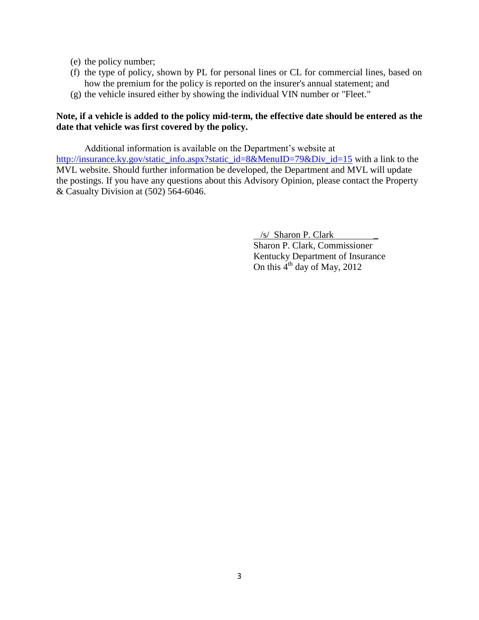- (e) the policy number;
- (f) the type of policy, shown by PL for personal lines or CL for commercial lines, based on how the premium for the policy is reported on the insurer's annual statement; and
- (g) the vehicle insured either by showing the individual VIN number or "Fleet."

# **Note, if a vehicle is added to the policy mid-term, the effective date should be entered as the date that vehicle was first covered by the policy.**

Additional information is available on the Department's website at [http://insurance.ky.gov/static\\_info.aspx?static\\_id=8&MenuID=79&Div\\_id=15](http://insurance.ky.gov/static_info.aspx?static_id=8&MenuID=79&Div_id=15) with a link to the MVL website. Should further information be developed, the Department and MVL will update the postings. If you have any questions about this Advisory Opinion, please contact the Property & Casualty Division at (502) 564-6046.

/s/ Sharon P. Clark \_

Sharon P. Clark, Commissioner Kentucky Department of Insurance On this  $4<sup>th</sup>$  day of May, 2012